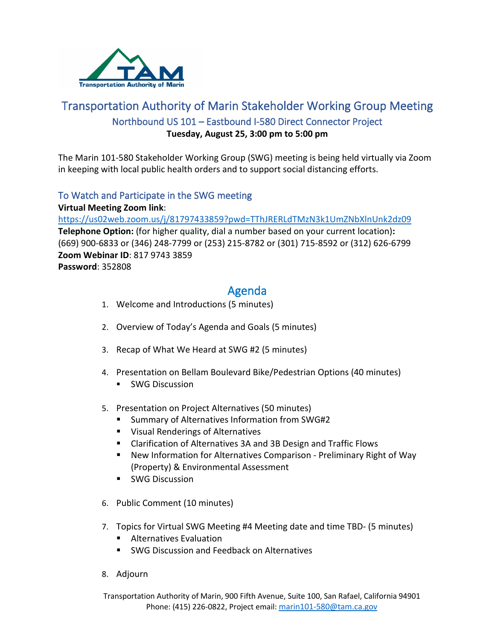

# Transportation Authority of Marin Stakeholder Working Group Meeting Northbound US 101 – Eastbound I-580 Direct Connector Project **Tuesday, August 25, 3:00 pm to 5:00 pm**

The Marin 101-580 Stakeholder Working Group (SWG) meeting is being held virtually via Zoom in keeping with local public health orders and to support social distancing efforts.

## To Watch and Participate in the SWG meeting

**Virtual Meeting Zoom link**: <https://us02web.zoom.us/j/81797433859?pwd=TThJRERLdTMzN3k1UmZNbXlnUnk2dz09> **Telephone Option:** (for higher quality, dial a number based on your current location)**:** (669) 900-6833 or (346) 248-7799 or (253) 215-8782 or (301) 715-8592 or (312) 626-6799 **Zoom Webinar ID**: 817 9743 3859 **Password**: 352808

# Agenda

- 1. Welcome and Introductions (5 minutes)
- 2. Overview of Today's Agenda and Goals (5 minutes)
- 3. Recap of What We Heard at SWG #2 (5 minutes)
- 4. Presentation on Bellam Boulevard Bike/Pedestrian Options (40 minutes)
	- **SWG Discussion**
- 5. Presentation on Project Alternatives (50 minutes)
	- Summary of Alternatives Information from SWG#2
	- **UISUAL Renderings of Alternatives**
	- Clarification of Alternatives 3A and 3B Design and Traffic Flows
	- New Information for Alternatives Comparison Preliminary Right of Way (Property) & Environmental Assessment
	- **SWG Discussion**
- 6. Public Comment (10 minutes)
- 7. Topics for Virtual SWG Meeting #4 Meeting date and time TBD- (5 minutes)
	- **Alternatives Evaluation**
	- SWG Discussion and Feedback on Alternatives
- 8. Adjourn

Transportation Authority of Marin, 900 Fifth Avenue, Suite 100, San Rafael, California 94901 Phone: (415) 226-0822, Project email: [marin101-580@tam.ca.gov](mailto:marin101-580@tam.ca.gov)